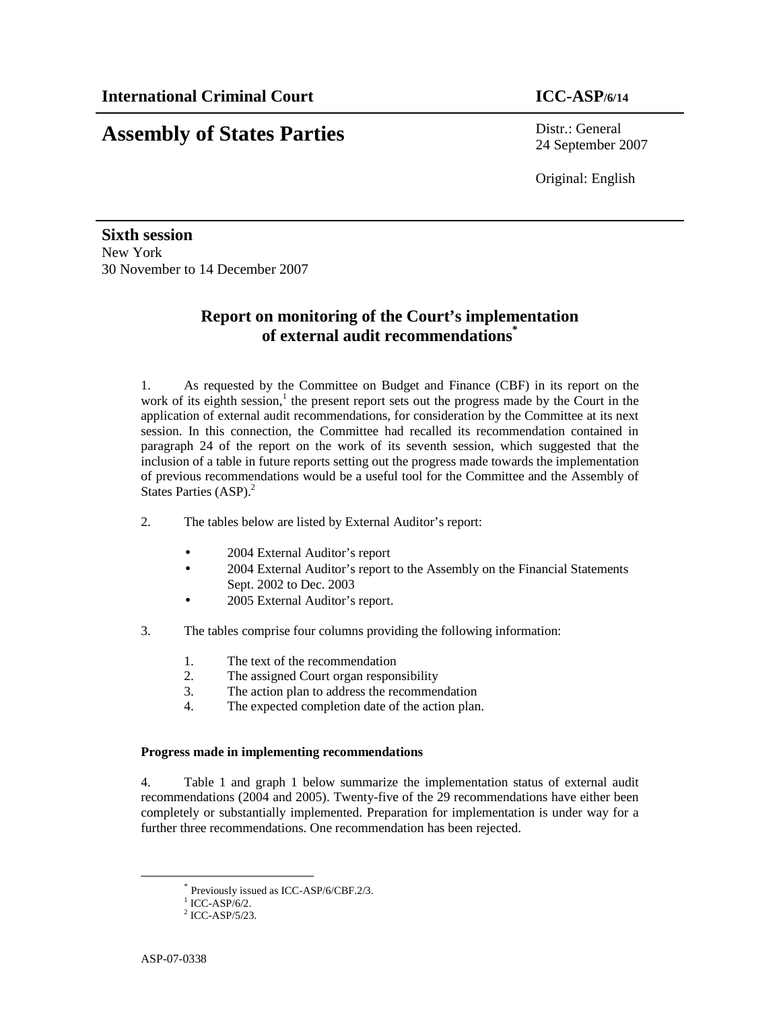# **Assembly of States Parties** Distr.: General

24 September 2007

Original: English

**Sixth session**  New York 30 November to 14 December 2007

## **Report on monitoring of the Court's implementation of external audit recommendations\***

1. As requested by the Committee on Budget and Finance (CBF) in its report on the work of its eighth session, $<sup>1</sup>$  the present report sets out the progress made by the Court in the</sup> application of external audit recommendations, for consideration by the Committee at its next session. In this connection, the Committee had recalled its recommendation contained in paragraph 24 of the report on the work of its seventh session, which suggested that the inclusion of a table in future reports setting out the progress made towards the implementation of previous recommendations would be a useful tool for the Committee and the Assembly of States Parties (ASP).<sup>2</sup>

- 2. The tables below are listed by External Auditor's report:
	- 2004 External Auditor's report
	- 2004 External Auditor's report to the Assembly on the Financial Statements Sept. 2002 to Dec. 2003
	- 2005 External Auditor's report.
- 3. The tables comprise four columns providing the following information:
	- 1. The text of the recommendation
	- 2. The assigned Court organ responsibility
	- 3. The action plan to address the recommendation
	- 4. The expected completion date of the action plan.

### **Progress made in implementing recommendations**

4. Table 1 and graph 1 below summarize the implementation status of external audit recommendations (2004 and 2005). Twenty-five of the 29 recommendations have either been completely or substantially implemented. Preparation for implementation is under way for a further three recommendations. One recommendation has been rejected.

-

<sup>\*</sup> Previously issued as ICC-ASP/6/CBF.2/3.

 $1$  ICC-ASP/6/2.

<sup>2</sup> ICC-ASP/5/23.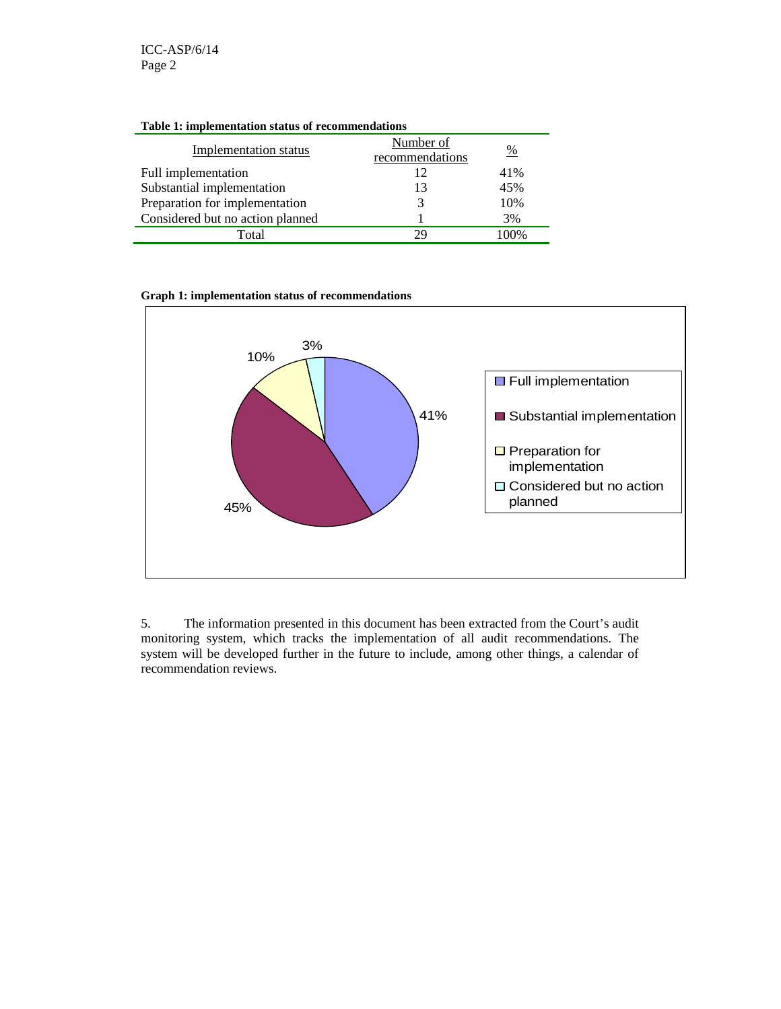| <b>Table 1: implementation status of recommendations</b> |                              |      |  |  |
|----------------------------------------------------------|------------------------------|------|--|--|
| <b>Implementation status</b>                             | Number of<br>recommendations | %    |  |  |
| Full implementation                                      | 12                           | 41%  |  |  |
| Substantial implementation                               | 13                           | 45%  |  |  |
| Preparation for implementation                           | 3                            | 10%  |  |  |
| Considered but no action planned                         |                              | 3%   |  |  |
| Total                                                    | 29                           | 100% |  |  |

**Table 1: implementation status of recommendations** 

#### **Graph 1: implementation status of recommendations**



5. The information presented in this document has been extracted from the Court's audit monitoring system, which tracks the implementation of all audit recommendations. The system will be developed further in the future to include, among other things, a calendar of recommendation reviews.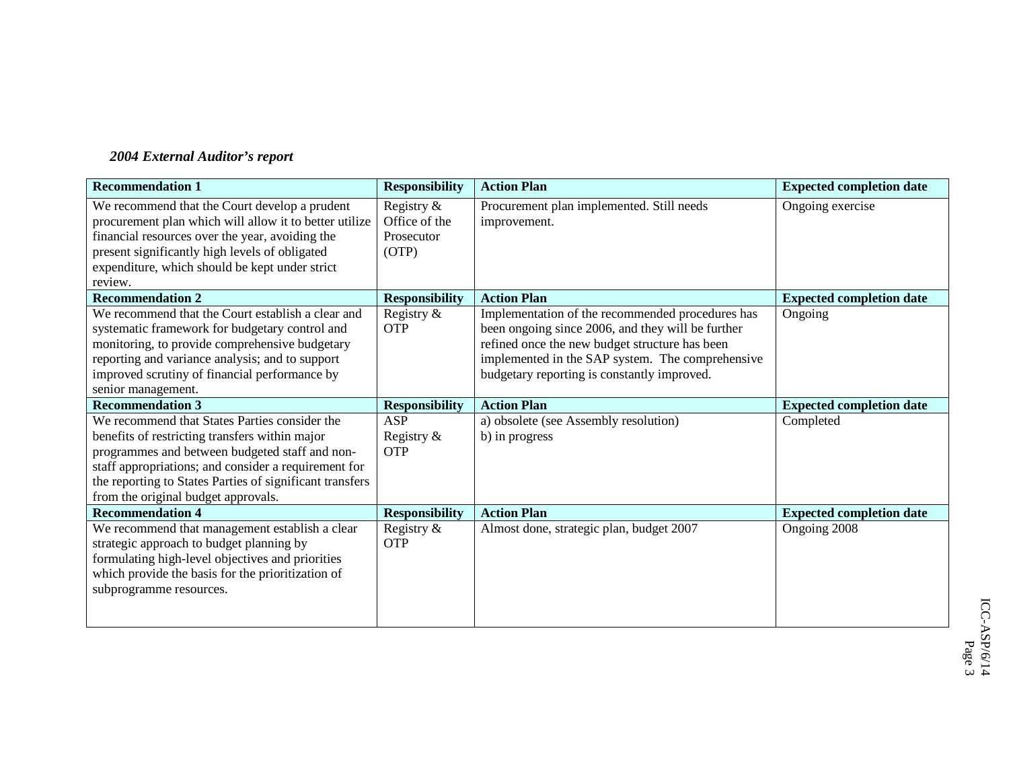## *2004 External Auditor's report*

| <b>Recommendation 1</b>                                                                                                                                                                                                                                                                                      | <b>Responsibility</b>                              | <b>Action Plan</b>                                                                                                                                                                                                                                         | <b>Expected completion date</b> |
|--------------------------------------------------------------------------------------------------------------------------------------------------------------------------------------------------------------------------------------------------------------------------------------------------------------|----------------------------------------------------|------------------------------------------------------------------------------------------------------------------------------------------------------------------------------------------------------------------------------------------------------------|---------------------------------|
| We recommend that the Court develop a prudent<br>procurement plan which will allow it to better utilize<br>financial resources over the year, avoiding the<br>present significantly high levels of obligated<br>expenditure, which should be kept under strict<br>review.                                    | Registry &<br>Office of the<br>Prosecutor<br>(OTP) | Procurement plan implemented. Still needs<br>improvement.                                                                                                                                                                                                  | Ongoing exercise                |
| <b>Recommendation 2</b>                                                                                                                                                                                                                                                                                      | <b>Responsibility</b>                              | <b>Action Plan</b>                                                                                                                                                                                                                                         | <b>Expected completion date</b> |
| We recommend that the Court establish a clear and<br>systematic framework for budgetary control and<br>monitoring, to provide comprehensive budgetary<br>reporting and variance analysis; and to support<br>improved scrutiny of financial performance by<br>senior management.                              | Registry &<br><b>OTP</b>                           | Implementation of the recommended procedures has<br>been ongoing since 2006, and they will be further<br>refined once the new budget structure has been<br>implemented in the SAP system. The comprehensive<br>budgetary reporting is constantly improved. | Ongoing                         |
| <b>Recommendation 3</b>                                                                                                                                                                                                                                                                                      | <b>Responsibility</b>                              | <b>Action Plan</b>                                                                                                                                                                                                                                         | <b>Expected completion date</b> |
| We recommend that States Parties consider the<br>benefits of restricting transfers within major<br>programmes and between budgeted staff and non-<br>staff appropriations; and consider a requirement for<br>the reporting to States Parties of significant transfers<br>from the original budget approvals. | ASP<br>Registry $\&$<br><b>OTP</b>                 | a) obsolete (see Assembly resolution)<br>b) in progress                                                                                                                                                                                                    | Completed                       |
| <b>Recommendation 4</b>                                                                                                                                                                                                                                                                                      | <b>Responsibility</b>                              | <b>Action Plan</b>                                                                                                                                                                                                                                         | <b>Expected completion date</b> |
| We recommend that management establish a clear<br>strategic approach to budget planning by<br>formulating high-level objectives and priorities<br>which provide the basis for the prioritization of<br>subprogramme resources.                                                                               | Registry &<br><b>OTP</b>                           | Almost done, strategic plan, budget 2007                                                                                                                                                                                                                   | Ongoing 2008                    |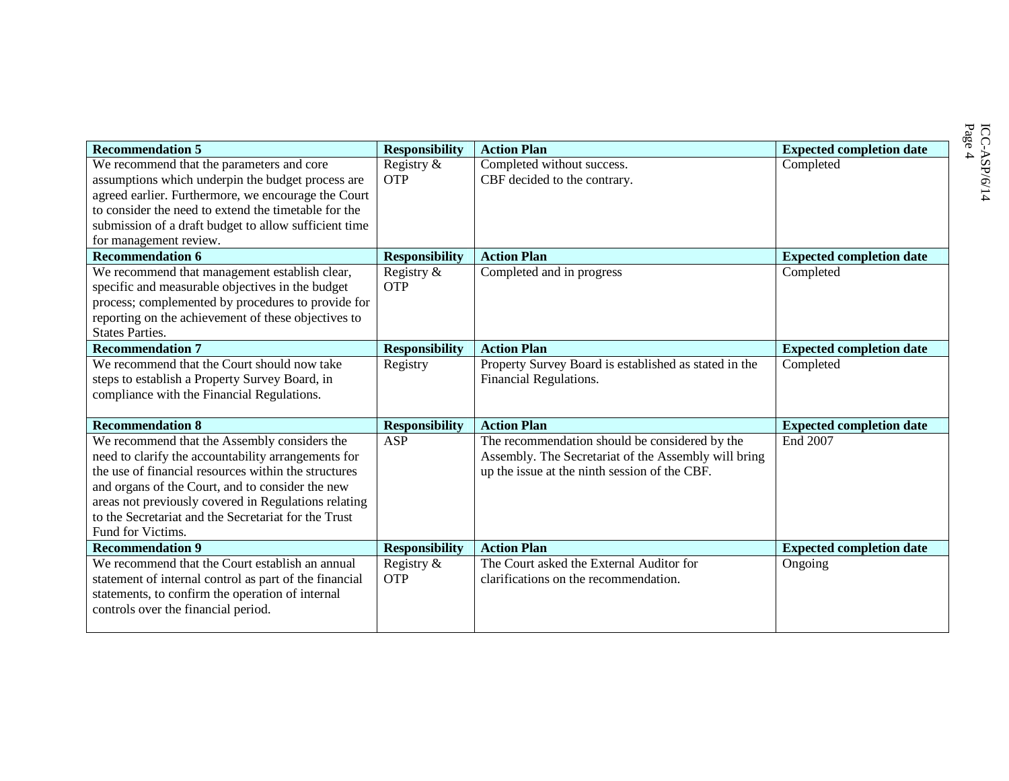| <b>Recommendation 5</b>                                                                                                                                                                                                                                                                                                                              | <b>Responsibility</b>    | <b>Action Plan</b>                                                                                                                                      | <b>Expected completion date</b> |
|------------------------------------------------------------------------------------------------------------------------------------------------------------------------------------------------------------------------------------------------------------------------------------------------------------------------------------------------------|--------------------------|---------------------------------------------------------------------------------------------------------------------------------------------------------|---------------------------------|
| We recommend that the parameters and core<br>assumptions which underpin the budget process are                                                                                                                                                                                                                                                       | Registry &<br><b>OTP</b> | Completed without success.<br>CBF decided to the contrary.                                                                                              | Completed                       |
| agreed earlier. Furthermore, we encourage the Court<br>to consider the need to extend the timetable for the<br>submission of a draft budget to allow sufficient time<br>for management review.                                                                                                                                                       |                          |                                                                                                                                                         |                                 |
| <b>Recommendation 6</b>                                                                                                                                                                                                                                                                                                                              | <b>Responsibility</b>    | <b>Action Plan</b>                                                                                                                                      | <b>Expected completion date</b> |
| We recommend that management establish clear,<br>specific and measurable objectives in the budget<br>process; complemented by procedures to provide for<br>reporting on the achievement of these objectives to<br><b>States Parties.</b>                                                                                                             | Registry &<br><b>OTP</b> | Completed and in progress                                                                                                                               | Completed                       |
| <b>Recommendation 7</b>                                                                                                                                                                                                                                                                                                                              | <b>Responsibility</b>    | <b>Action Plan</b>                                                                                                                                      | <b>Expected completion date</b> |
| We recommend that the Court should now take<br>steps to establish a Property Survey Board, in<br>compliance with the Financial Regulations.                                                                                                                                                                                                          | Registry                 | Property Survey Board is established as stated in the<br>Financial Regulations.                                                                         | Completed                       |
| <b>Recommendation 8</b>                                                                                                                                                                                                                                                                                                                              | <b>Responsibility</b>    | <b>Action Plan</b>                                                                                                                                      | <b>Expected completion date</b> |
| We recommend that the Assembly considers the<br>need to clarify the accountability arrangements for<br>the use of financial resources within the structures<br>and organs of the Court, and to consider the new<br>areas not previously covered in Regulations relating<br>to the Secretariat and the Secretariat for the Trust<br>Fund for Victims. | <b>ASP</b>               | The recommendation should be considered by the<br>Assembly. The Secretariat of the Assembly will bring<br>up the issue at the ninth session of the CBF. | End 2007                        |
| <b>Recommendation 9</b>                                                                                                                                                                                                                                                                                                                              | <b>Responsibility</b>    | <b>Action Plan</b>                                                                                                                                      | <b>Expected completion date</b> |
| We recommend that the Court establish an annual<br>statement of internal control as part of the financial<br>statements, to confirm the operation of internal<br>controls over the financial period.                                                                                                                                                 | Registry &<br><b>OTP</b> | The Court asked the External Auditor for<br>clarifications on the recommendation.                                                                       | Ongoing                         |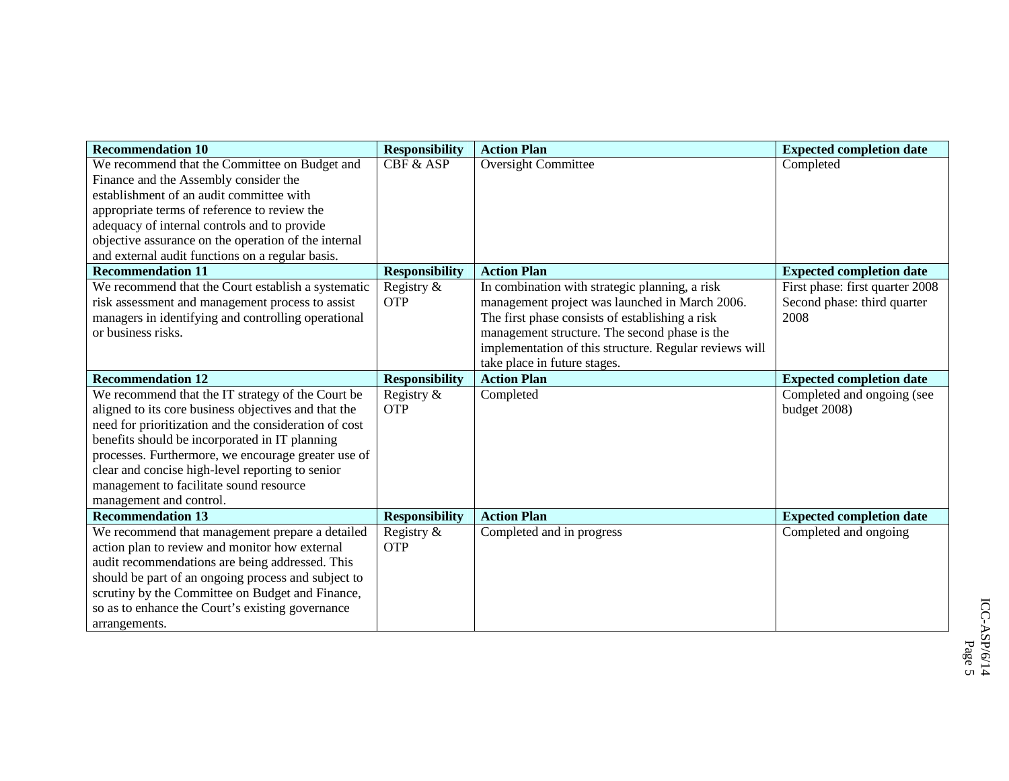| <b>Recommendation 10</b>                              | <b>Responsibility</b> | <b>Action Plan</b>                                     | <b>Expected completion date</b> |
|-------------------------------------------------------|-----------------------|--------------------------------------------------------|---------------------------------|
| We recommend that the Committee on Budget and         | CBF & ASP             | Oversight Committee                                    | Completed                       |
| Finance and the Assembly consider the                 |                       |                                                        |                                 |
| establishment of an audit committee with              |                       |                                                        |                                 |
| appropriate terms of reference to review the          |                       |                                                        |                                 |
| adequacy of internal controls and to provide          |                       |                                                        |                                 |
| objective assurance on the operation of the internal  |                       |                                                        |                                 |
| and external audit functions on a regular basis.      |                       |                                                        |                                 |
| <b>Recommendation 11</b>                              | <b>Responsibility</b> | <b>Action Plan</b>                                     | <b>Expected completion date</b> |
| We recommend that the Court establish a systematic    | Registry &            | In combination with strategic planning, a risk         | First phase: first quarter 2008 |
| risk assessment and management process to assist      | <b>OTP</b>            | management project was launched in March 2006.         | Second phase: third quarter     |
| managers in identifying and controlling operational   |                       | The first phase consists of establishing a risk        | 2008                            |
| or business risks.                                    |                       | management structure. The second phase is the          |                                 |
|                                                       |                       | implementation of this structure. Regular reviews will |                                 |
|                                                       |                       | take place in future stages.                           |                                 |
| <b>Recommendation 12</b>                              | <b>Responsibility</b> | <b>Action Plan</b>                                     | <b>Expected completion date</b> |
| We recommend that the IT strategy of the Court be     | Registry &            | Completed                                              | Completed and ongoing (see      |
| aligned to its core business objectives and that the  | <b>OTP</b>            |                                                        | budget 2008)                    |
| need for prioritization and the consideration of cost |                       |                                                        |                                 |
| benefits should be incorporated in IT planning        |                       |                                                        |                                 |
| processes. Furthermore, we encourage greater use of   |                       |                                                        |                                 |
| clear and concise high-level reporting to senior      |                       |                                                        |                                 |
| management to facilitate sound resource               |                       |                                                        |                                 |
| management and control.                               |                       |                                                        |                                 |
| <b>Recommendation 13</b>                              | <b>Responsibility</b> | <b>Action Plan</b>                                     | <b>Expected completion date</b> |
| We recommend that management prepare a detailed       | Registry &            | Completed and in progress                              | Completed and ongoing           |
| action plan to review and monitor how external        | <b>OTP</b>            |                                                        |                                 |
| audit recommendations are being addressed. This       |                       |                                                        |                                 |
| should be part of an ongoing process and subject to   |                       |                                                        |                                 |
| scrutiny by the Committee on Budget and Finance,      |                       |                                                        |                                 |
| so as to enhance the Court's existing governance      |                       |                                                        |                                 |
| arrangements.                                         |                       |                                                        |                                 |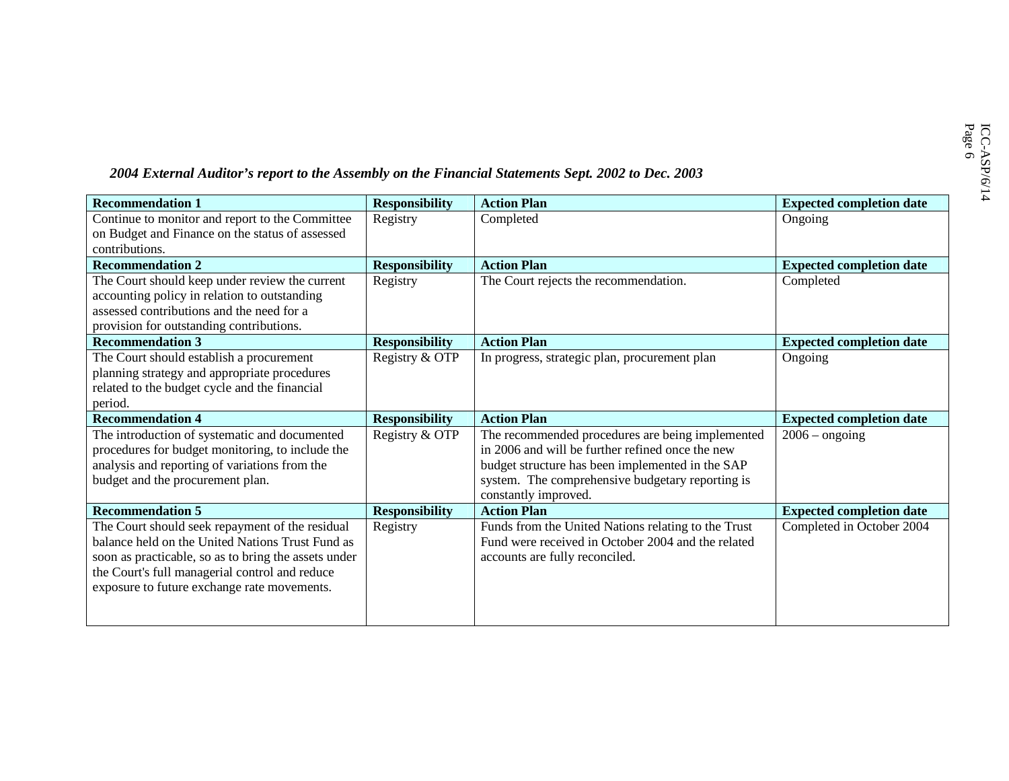## 2004 *External Auditor's report to the Assembly on the Financial Statements Sept. 2002 to Dec. 2003*

| <b>Recommendation 1</b>                              | <b>Responsibility</b> | <b>Action Plan</b>                                  | <b>Expected completion date</b> |
|------------------------------------------------------|-----------------------|-----------------------------------------------------|---------------------------------|
| Continue to monitor and report to the Committee      | Registry              | Completed                                           | Ongoing                         |
| on Budget and Finance on the status of assessed      |                       |                                                     |                                 |
| contributions.                                       |                       |                                                     |                                 |
| <b>Recommendation 2</b>                              | <b>Responsibility</b> | <b>Action Plan</b>                                  | <b>Expected completion date</b> |
| The Court should keep under review the current       | Registry              | The Court rejects the recommendation.               | Completed                       |
| accounting policy in relation to outstanding         |                       |                                                     |                                 |
| assessed contributions and the need for a            |                       |                                                     |                                 |
| provision for outstanding contributions.             |                       |                                                     |                                 |
| <b>Recommendation 3</b>                              | <b>Responsibility</b> | <b>Action Plan</b>                                  | <b>Expected completion date</b> |
| The Court should establish a procurement             | Registry & OTP        | In progress, strategic plan, procurement plan       | Ongoing                         |
| planning strategy and appropriate procedures         |                       |                                                     |                                 |
| related to the budget cycle and the financial        |                       |                                                     |                                 |
| period.                                              |                       |                                                     |                                 |
| <b>Recommendation 4</b>                              | <b>Responsibility</b> | <b>Action Plan</b>                                  | <b>Expected completion date</b> |
| The introduction of systematic and documented        | Registry & OTP        | The recommended procedures are being implemented    | $2006$ – ongoing                |
| procedures for budget monitoring, to include the     |                       | in 2006 and will be further refined once the new    |                                 |
| analysis and reporting of variations from the        |                       | budget structure has been implemented in the SAP    |                                 |
| budget and the procurement plan.                     |                       | system. The comprehensive budgetary reporting is    |                                 |
|                                                      |                       | constantly improved.                                |                                 |
| <b>Recommendation 5</b>                              | <b>Responsibility</b> | <b>Action Plan</b>                                  | <b>Expected completion date</b> |
| The Court should seek repayment of the residual      | Registry              | Funds from the United Nations relating to the Trust | Completed in October 2004       |
| balance held on the United Nations Trust Fund as     |                       | Fund were received in October 2004 and the related  |                                 |
| soon as practicable, so as to bring the assets under |                       | accounts are fully reconciled.                      |                                 |
| the Court's full managerial control and reduce       |                       |                                                     |                                 |
| exposure to future exchange rate movements.          |                       |                                                     |                                 |
|                                                      |                       |                                                     |                                 |
|                                                      |                       |                                                     |                                 |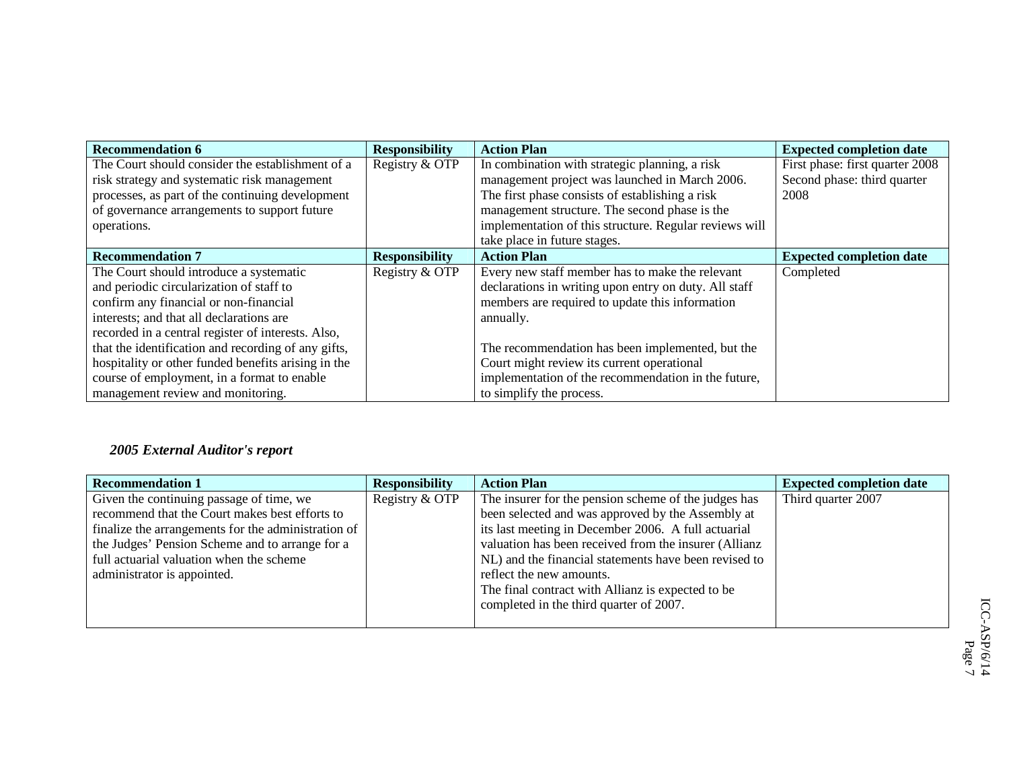| <b>Recommendation 6</b>                             | <b>Responsibility</b> | <b>Action Plan</b>                                     | <b>Expected completion date</b> |
|-----------------------------------------------------|-----------------------|--------------------------------------------------------|---------------------------------|
| The Court should consider the establishment of a    | Registry & OTP        | In combination with strategic planning, a risk         | First phase: first quarter 2008 |
| risk strategy and systematic risk management        |                       | management project was launched in March 2006.         | Second phase: third quarter     |
| processes, as part of the continuing development    |                       | The first phase consists of establishing a risk        | 2008                            |
| of governance arrangements to support future        |                       | management structure. The second phase is the          |                                 |
| operations.                                         |                       | implementation of this structure. Regular reviews will |                                 |
|                                                     |                       | take place in future stages.                           |                                 |
| <b>Recommendation 7</b>                             | <b>Responsibility</b> | <b>Action Plan</b>                                     | <b>Expected completion date</b> |
| The Court should introduce a systematic             | Registry & OTP        | Every new staff member has to make the relevant        | Completed                       |
| and periodic circularization of staff to            |                       | declarations in writing upon entry on duty. All staff  |                                 |
| confirm any financial or non-financial              |                       | members are required to update this information        |                                 |
| interests; and that all declarations are            |                       | annually.                                              |                                 |
| recorded in a central register of interests. Also,  |                       |                                                        |                                 |
| that the identification and recording of any gifts, |                       | The recommendation has been implemented, but the       |                                 |
| hospitality or other funded benefits arising in the |                       | Court might review its current operational             |                                 |
| course of employment, in a format to enable         |                       | implementation of the recommendation in the future,    |                                 |
| management review and monitoring.                   |                       | to simplify the process.                               |                                 |

## *2005 External Auditor's report*

| <b>Recommendation 1</b>                             | <b>Responsibility</b> | <b>Action Plan</b>                                    | <b>Expected completion date</b> |
|-----------------------------------------------------|-----------------------|-------------------------------------------------------|---------------------------------|
| Given the continuing passage of time, we            | Registry & OTP        | The insurer for the pension scheme of the judges has  | Third quarter 2007              |
| recommend that the Court makes best efforts to      |                       | been selected and was approved by the Assembly at     |                                 |
| finalize the arrangements for the administration of |                       | its last meeting in December 2006. A full actuarial   |                                 |
| the Judges' Pension Scheme and to arrange for a     |                       | valuation has been received from the insurer (Allianz |                                 |
| full actuarial valuation when the scheme            |                       | NL) and the financial statements have been revised to |                                 |
| administrator is appointed.                         |                       | reflect the new amounts.                              |                                 |
|                                                     |                       | The final contract with Allianz is expected to be     |                                 |
|                                                     |                       | completed in the third quarter of 2007.               |                                 |
|                                                     |                       |                                                       |                                 |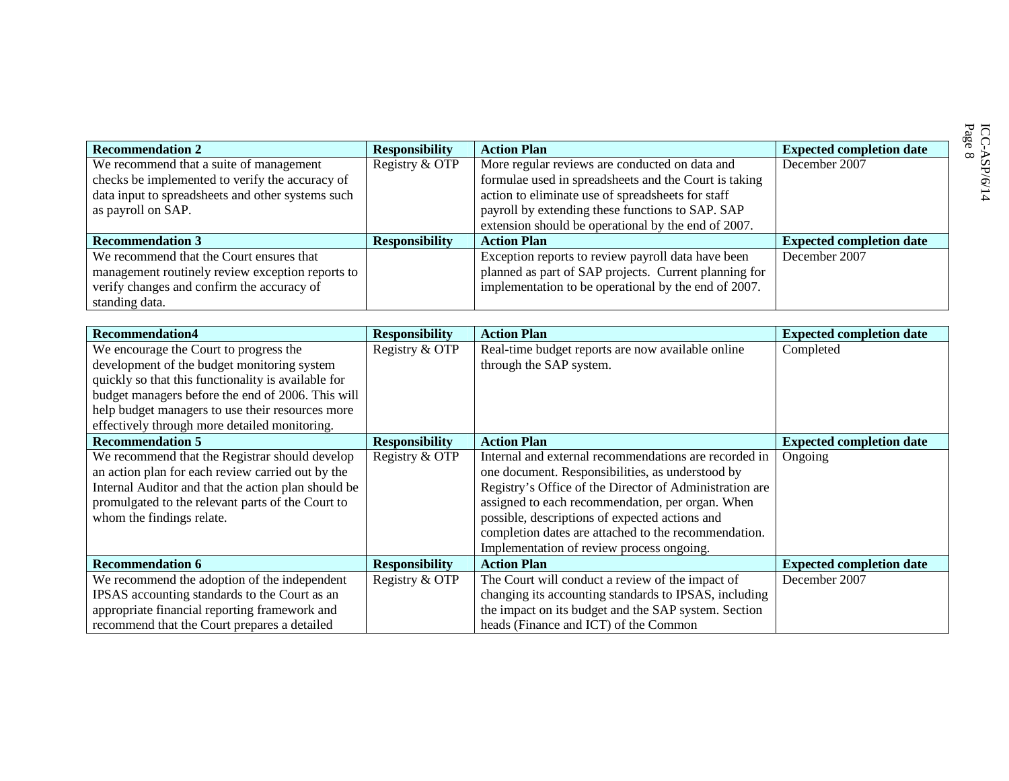| <b>Recommendation 2</b>                           | <b>Responsibility</b> | <b>Action Plan</b>                                    | <b>Expected completion date</b> |
|---------------------------------------------------|-----------------------|-------------------------------------------------------|---------------------------------|
| We recommend that a suite of management           | Registry & OTP        | More regular reviews are conducted on data and        | December 2007                   |
| checks be implemented to verify the accuracy of   |                       | formulae used in spreadsheets and the Court is taking |                                 |
| data input to spreadsheets and other systems such |                       | action to eliminate use of spreadsheets for staff     |                                 |
| as payroll on SAP.                                |                       | payroll by extending these functions to SAP. SAP      |                                 |
|                                                   |                       | extension should be operational by the end of 2007.   |                                 |
| <b>Recommendation 3</b>                           | <b>Responsibility</b> | <b>Action Plan</b>                                    | <b>Expected completion date</b> |
| We recommend that the Court ensures that          |                       | Exception reports to review payroll data have been    | December 2007                   |
| management routinely review exception reports to  |                       | planned as part of SAP projects. Current planning for |                                 |
| verify changes and confirm the accuracy of        |                       | implementation to be operational by the end of 2007.  |                                 |
| standing data.                                    |                       |                                                       |                                 |

| <b>Recommendation4</b>                              | <b>Responsibility</b> | <b>Action Plan</b>                                      | <b>Expected completion date</b> |
|-----------------------------------------------------|-----------------------|---------------------------------------------------------|---------------------------------|
| We encourage the Court to progress the              | Registry & OTP        | Real-time budget reports are now available online       | Completed                       |
| development of the budget monitoring system         |                       | through the SAP system.                                 |                                 |
| quickly so that this functionality is available for |                       |                                                         |                                 |
| budget managers before the end of 2006. This will   |                       |                                                         |                                 |
| help budget managers to use their resources more    |                       |                                                         |                                 |
| effectively through more detailed monitoring.       |                       |                                                         |                                 |
| <b>Recommendation 5</b>                             | <b>Responsibility</b> | <b>Action Plan</b>                                      | <b>Expected completion date</b> |
| We recommend that the Registrar should develop      | Registry & OTP        | Internal and external recommendations are recorded in   | Ongoing                         |
| an action plan for each review carried out by the   |                       | one document. Responsibilities, as understood by        |                                 |
| Internal Auditor and that the action plan should be |                       | Registry's Office of the Director of Administration are |                                 |
| promulgated to the relevant parts of the Court to   |                       | assigned to each recommendation, per organ. When        |                                 |
| whom the findings relate.                           |                       | possible, descriptions of expected actions and          |                                 |
|                                                     |                       | completion dates are attached to the recommendation.    |                                 |
|                                                     |                       | Implementation of review process ongoing.               |                                 |
| <b>Recommendation 6</b>                             | <b>Responsibility</b> | <b>Action Plan</b>                                      | <b>Expected completion date</b> |
| We recommend the adoption of the independent        | Registry & OTP        | The Court will conduct a review of the impact of        | December 2007                   |
| IPSAS accounting standards to the Court as an       |                       | changing its accounting standards to IPSAS, including   |                                 |
| appropriate financial reporting framework and       |                       | the impact on its budget and the SAP system. Section    |                                 |
| recommend that the Court prepares a detailed        |                       | heads (Finance and ICT) of the Common                   |                                 |